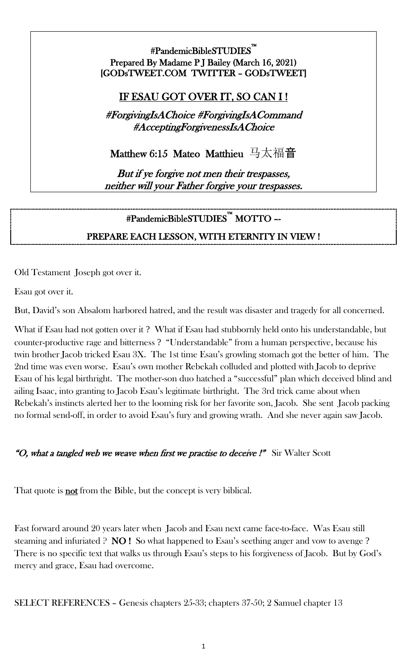#PandemicBibleSTUDIES™ Prepared By Madame P J Bailey (March 16, 2021) [GODsTWEET.COM TWITTER – GODsTWEET]

## IF ESAU GOT OVER IT, SO CAN I !

#ForgivingIsAChoice #ForgivingIsACommand #AcceptingForgivenessIsAChoice

Matthew 6:15 Mateo Matthieu 马太福音

But if ye forgive not men their trespasses, neither will your Father forgive your trespasses.

### #PandemicBibleSTUDIES™ MOTTO –-

### PREPARE EACH LESSON, WITH ETERNITY IN VIEW !

Old Testament Joseph got over it.

Esau got over it.

But, David's son Absalom harbored hatred, and the result was disaster and tragedy for all concerned.

What if Esau had not gotten over it ? What if Esau had stubbornly held onto his understandable, but counter-productive rage and bitterness ? "Understandable" from a human perspective, because his twin brother Jacob tricked Esau 3X. The 1st time Esau's growling stomach got the better of him. The 2nd time was even worse. Esau's own mother Rebekah colluded and plotted with Jacob to deprive Esau of his legal birthright. The mother-son duo hatched a "successful" plan which deceived blind and ailing Isaac, into granting to Jacob Esau's legitimate birthright. The 3rd trick came about when Rebekah's instincts alerted her to the looming risk for her favorite son, Jacob. She sent Jacob packing no formal send-off, in order to avoid Esau's fury and growing wrath. And she never again saw Jacob.

#### "O, what a tangled web we weave when first we practise to deceive !" Sir Walter Scott

That quote is **not** from the Bible, but the concept is very biblical.

Fast forward around 20 years later when Jacob and Esau next came face-to-face. Was Esau still steaming and infuriated ? NO ! So what happened to Esau's seething anger and vow to avenge ? There is no specific text that walks us through Esau's steps to his forgiveness of Jacob. But by God's mercy and grace, Esau had overcome.

SELECT REFERENCES – Genesis chapters 25-33; chapters 37-50; 2 Samuel chapter 13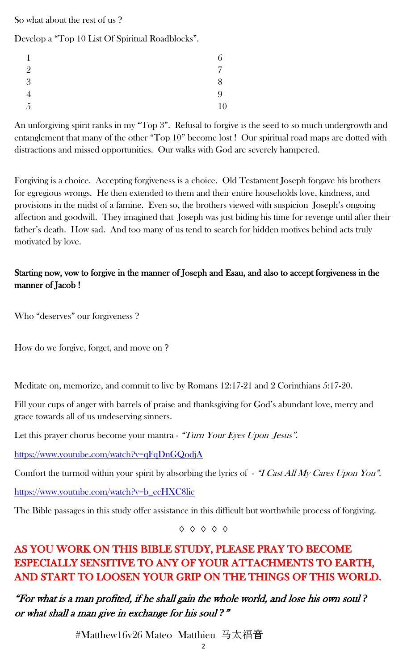So what about the rest of us ?

Develop a "Top 10 List Of Spiritual Roadblocks".

| $\mathbf 1$    | ⌒<br>b |
|----------------|--------|
| $\overline{2}$ | 7      |
| 3              | 8      |
| $\overline{4}$ | 9      |
| 5              | 10     |

An unforgiving spirit ranks in my "Top 3". Refusal to forgive is the seed to so much undergrowth and entanglement that many of the other "Top 10" become lost ! Our spiritual road maps are dotted with distractions and missed opportunities. Our walks with God are severely hampered.

Forgiving is a choice. Accepting forgiveness is a choice. Old Testament Joseph forgave his brothers for egregious wrongs. He then extended to them and their entire households love, kindness, and provisions in the midst of a famine. Even so, the brothers viewed with suspicion Joseph's ongoing affection and goodwill. They imagined that Joseph was just biding his time for revenge until after their father's death. How sad. And too many of us tend to search for hidden motives behind acts truly motivated by love.

#### Starting now, vow to forgive in the manner of Joseph and Esau, and also to accept forgiveness in the manner of Jacob !

Who "deserves" our forgiveness ?

How do we forgive, forget, and move on ?

Meditate on, memorize, and commit to live by Romans 12:17-21 and 2 Corinthians 5:17-20.

Fill your cups of anger with barrels of praise and thanksgiving for God's abundant love, mercy and grace towards all of us undeserving sinners.

Let this prayer chorus become your mantra - "Turn Your Eyes Upon Jesus".

<https://www.youtube.com/watch?v=qFqDnGQodjA>

Comfort the turmoil within your spirit by absorbing the lyrics of  $-$  "I Cast All My Cares Upon You".

[https://www.youtube.com/watch?v=b\\_ecHXC8lic](https://www.youtube.com/watch?v=b_ecHXC8lic)

The Bible passages in this study offer assistance in this difficult but worthwhile process of forgiving.

◊ ◊ ◊ ◊ ◊

# AS YOU WORK ON THIS BIBLE STUDY, PLEASE PRAY TO BECOME ESPECIALLY SENSITIVE TO ANY OF YOUR ATTACHMENTS TO EARTH, AND START TO LOOSEN YOUR GRIP ON THE THINGS OF THIS WORLD.

"For what is a man profited, if he shall gain the whole world, and lose his own soul *?*  or what shall a man give in exchange for his soul *?*"

#Matthew16v26 Mateo Matthieu 马太福音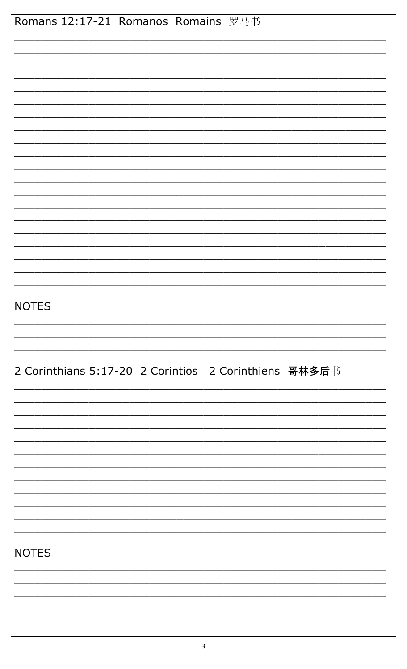| Romans 12:17-21 Romanos Romains 罗马书                   |
|-------------------------------------------------------|
|                                                       |
|                                                       |
|                                                       |
|                                                       |
|                                                       |
|                                                       |
|                                                       |
|                                                       |
|                                                       |
|                                                       |
|                                                       |
|                                                       |
|                                                       |
|                                                       |
|                                                       |
|                                                       |
|                                                       |
|                                                       |
| <b>NOTES</b>                                          |
|                                                       |
|                                                       |
|                                                       |
| 2 Corinthians 5:17-20 2 Corintios 2 Corinthiens 哥林多后书 |
|                                                       |
|                                                       |
|                                                       |
|                                                       |
|                                                       |
|                                                       |
|                                                       |
|                                                       |
|                                                       |
|                                                       |
| <b>NOTES</b>                                          |
|                                                       |
|                                                       |
|                                                       |
|                                                       |
|                                                       |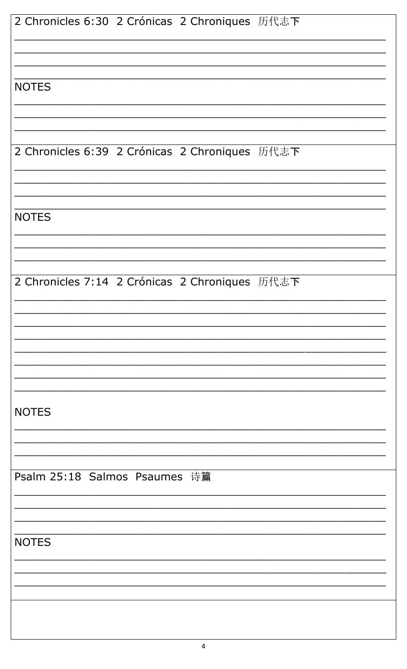| 2 Chronicles 6:30 2 Crónicas 2 Chroniques 历代志下 |
|------------------------------------------------|
|                                                |
| <b>NOTES</b>                                   |
|                                                |
| 2 Chronicles 6:39 2 Crónicas 2 Chroniques 历代志下 |
|                                                |
| <b>NOTES</b>                                   |
|                                                |
| 2 Chronicles 7:14 2 Crónicas 2 Chroniques 历代志下 |
|                                                |
|                                                |
|                                                |
| <b>NOTES</b>                                   |
|                                                |
| Psalm 25:18 Salmos Psaumes 诗篇                  |
|                                                |
| <b>NOTES</b>                                   |
|                                                |
|                                                |
|                                                |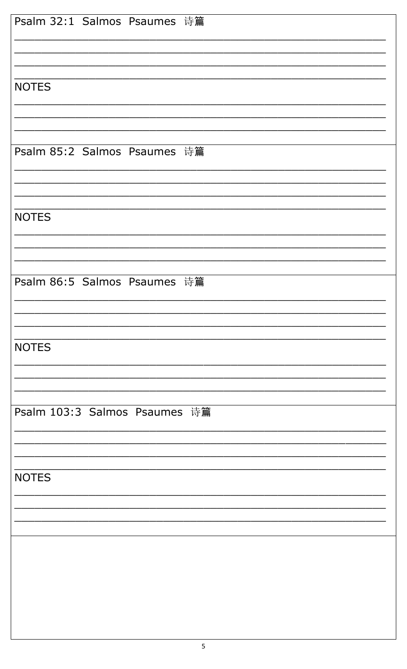| Psalm 32:1 Salmos Psaumes 诗篇  |
|-------------------------------|
|                               |
| <b>NOTES</b>                  |
|                               |
|                               |
| Psalm 85:2 Salmos Psaumes 诗篇  |
|                               |
| <b>NOTES</b>                  |
|                               |
| Psalm 86:5 Salmos Psaumes 诗篇  |
|                               |
|                               |
| <b>NOTES</b>                  |
|                               |
| Psalm 103:3 Salmos Psaumes 诗篇 |
|                               |
|                               |
| <b>NOTES</b>                  |
|                               |
|                               |
|                               |
|                               |
|                               |
|                               |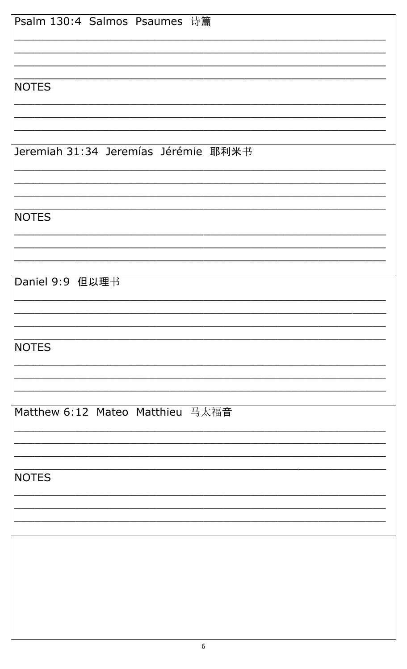| Psalm 130:4 Salmos Psaumes 诗篇        |
|--------------------------------------|
|                                      |
|                                      |
|                                      |
| <b>NOTES</b>                         |
|                                      |
|                                      |
| Jeremiah 31:34 Jeremías Jérémie 耶利米书 |
|                                      |
|                                      |
| <b>NOTES</b>                         |
|                                      |
|                                      |
|                                      |
| Daniel 9:9 但以理书                      |
|                                      |
|                                      |
| <b>NOTES</b>                         |
|                                      |
|                                      |
|                                      |
| Matthew 6:12 Mateo Matthieu 马太福音     |
|                                      |
|                                      |
|                                      |
| <b>NOTES</b>                         |
|                                      |
|                                      |
|                                      |
|                                      |
|                                      |
|                                      |
|                                      |
|                                      |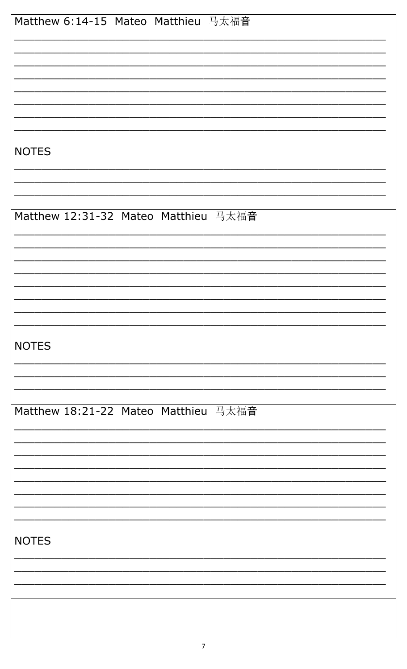| Matthew 6:14-15 Mateo Matthieu 马太福音  |
|--------------------------------------|
|                                      |
|                                      |
|                                      |
|                                      |
| <b>NOTES</b>                         |
|                                      |
|                                      |
| Matthew 12:31-32 Mateo Matthieu 马太福音 |
|                                      |
|                                      |
|                                      |
|                                      |
| <b>NOTES</b>                         |
|                                      |
|                                      |
| Matthew 18:21-22 Mateo Matthieu 马太福音 |
|                                      |
|                                      |
|                                      |
|                                      |
|                                      |
| <b>NOTES</b>                         |
|                                      |
|                                      |
|                                      |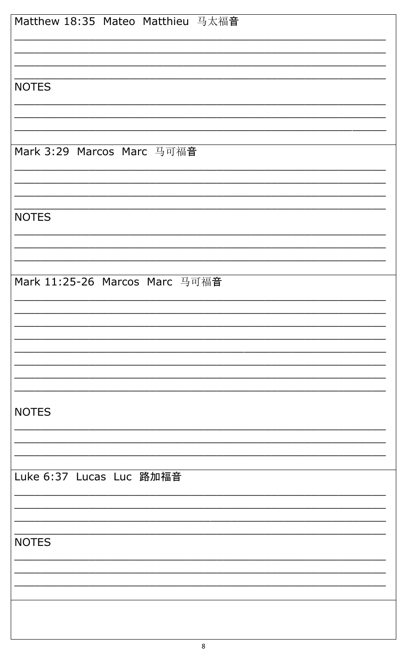| Matthew 18:35 Mateo Matthieu 马太福音 |
|-----------------------------------|
|                                   |
|                                   |
|                                   |
|                                   |
| <b>NOTES</b>                      |
|                                   |
|                                   |
|                                   |
| Mark 3:29 Marcos Marc 马可福音        |
|                                   |
|                                   |
|                                   |
| <b>NOTES</b>                      |
|                                   |
|                                   |
|                                   |
|                                   |
| Mark 11:25-26 Marcos Marc 马可福音    |
|                                   |
|                                   |
|                                   |
|                                   |
|                                   |
|                                   |
|                                   |
|                                   |
| <b>NOTES</b>                      |
|                                   |
|                                   |
|                                   |
| Luke 6:37 Lucas Luc 路加福音          |
|                                   |
|                                   |
|                                   |
| <b>NOTES</b>                      |
|                                   |
|                                   |
|                                   |
|                                   |
|                                   |
|                                   |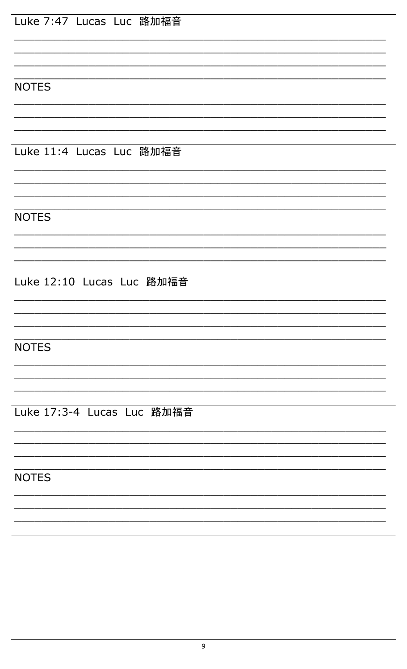| Luke 7:47 Lucas Luc 路加福音   |
|----------------------------|
|                            |
|                            |
| <b>NOTES</b>               |
|                            |
|                            |
| Luke 11:4 Lucas Luc 路加福音   |
|                            |
|                            |
| <b>NOTES</b>               |
|                            |
| Luke 12:10 Lucas Luc 路加福音  |
|                            |
|                            |
| <b>NOTES</b>               |
|                            |
|                            |
| Luke 17:3-4 Lucas Luc 路加福音 |
|                            |
|                            |
| <b>NOTES</b>               |
|                            |
|                            |
|                            |
|                            |
|                            |
|                            |
|                            |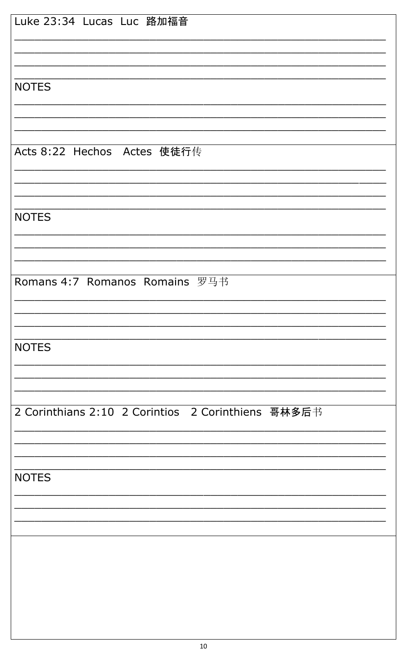| Luke 23:34 Lucas Luc 路加福音                          |
|----------------------------------------------------|
|                                                    |
|                                                    |
|                                                    |
| <b>NOTES</b>                                       |
|                                                    |
|                                                    |
| Acts 8:22 Hechos Actes 使徒行传                        |
|                                                    |
|                                                    |
|                                                    |
| <b>NOTES</b>                                       |
|                                                    |
|                                                    |
|                                                    |
| Romans 4:7 Romanos Romains 罗马书                     |
|                                                    |
|                                                    |
|                                                    |
| <b>NOTES</b>                                       |
|                                                    |
|                                                    |
| 2 Corinthians 2:10 2 Corintios 2 Corinthiens 哥林多后书 |
|                                                    |
|                                                    |
|                                                    |
| <b>NOTES</b>                                       |
|                                                    |
|                                                    |
|                                                    |
|                                                    |
|                                                    |
|                                                    |
|                                                    |
|                                                    |
|                                                    |
|                                                    |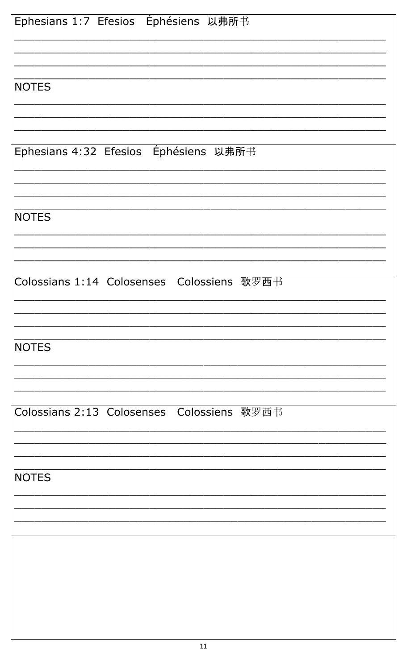| Ephesians 1:7 Efesios Éphésiens 以弗所书       |
|--------------------------------------------|
|                                            |
|                                            |
| <b>NOTES</b>                               |
|                                            |
|                                            |
| Ephesians 4:32 Efesios Éphésiens 以弗所书      |
|                                            |
|                                            |
| <b>NOTES</b>                               |
|                                            |
|                                            |
|                                            |
| Colossians 1:14 Colosenses Colossiens 歌罗西书 |
|                                            |
|                                            |
| <b>NOTES</b>                               |
|                                            |
|                                            |
| Colossians 2:13 Colosenses Colossiens 歌罗西书 |
|                                            |
|                                            |
| <b>NOTES</b>                               |
|                                            |
|                                            |
|                                            |
|                                            |
|                                            |
|                                            |
|                                            |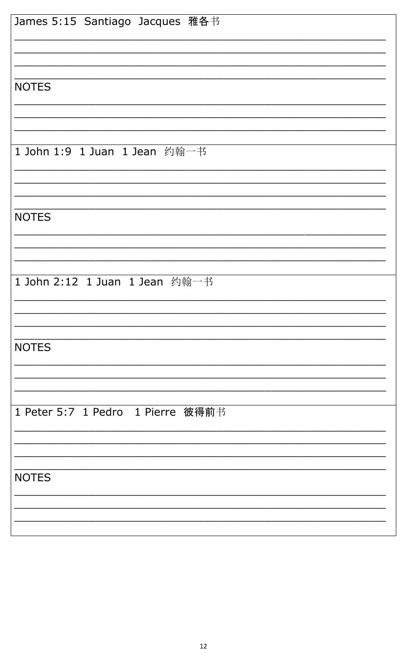| James 5:15 Santiago Jacques 雅各书   |
|-----------------------------------|
|                                   |
|                                   |
|                                   |
| <b>NOTES</b>                      |
|                                   |
|                                   |
|                                   |
| 1 John 1:9 1 Juan 1 Jean 约翰一书     |
|                                   |
|                                   |
|                                   |
| <b>NOTES</b>                      |
|                                   |
|                                   |
|                                   |
| 1 John 2:12 1 Juan 1 Jean 约翰一书    |
|                                   |
|                                   |
|                                   |
| <b>NOTES</b>                      |
|                                   |
|                                   |
|                                   |
| 1 Peter 5:7 1 Pedro 1 Pierre 彼得前书 |
|                                   |
|                                   |
|                                   |
| <b>NOTES</b>                      |
|                                   |
|                                   |
|                                   |